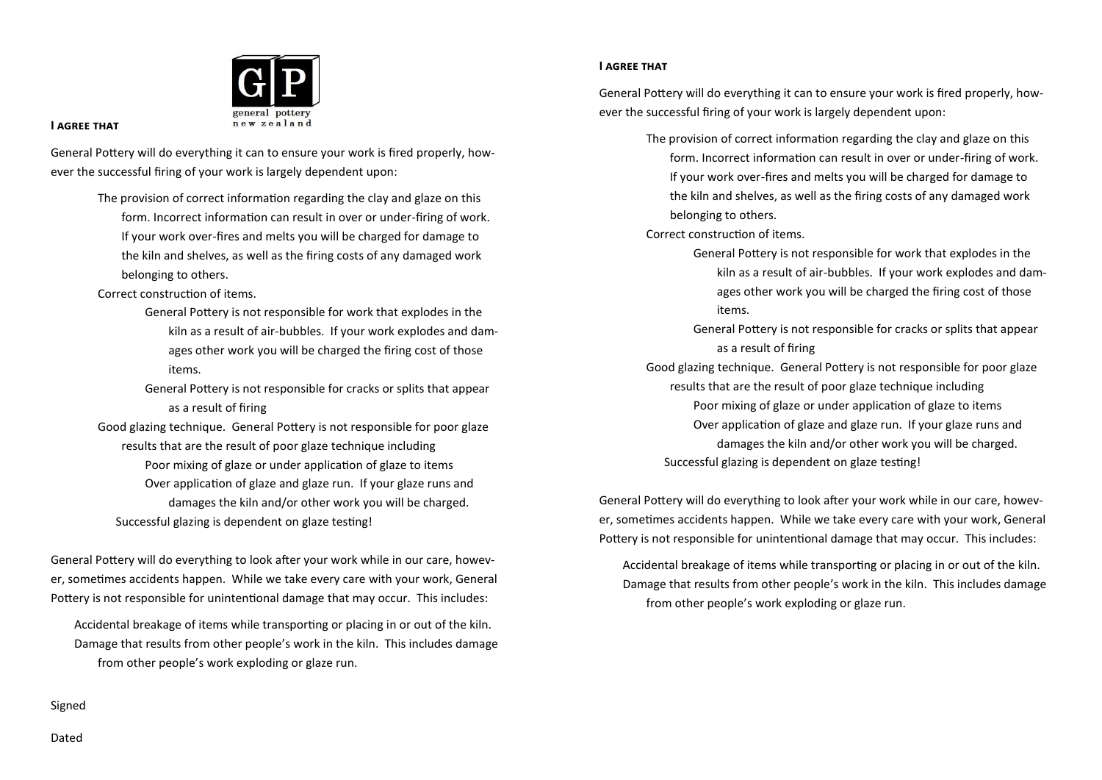

#### **I agree that**

General Pottery will do everything it can to ensure your work is fired properly, however the successful firing of your work is largely dependent upon:

> The provision of correct information regarding the clay and glaze on this form. Incorrect information can result in over or under-firing of work. If your work over-fires and melts you will be charged for damage to the kiln and shelves, as well as the firing costs of any damaged work belonging to others.

Correct construction of items.

- General Pottery is not responsible for work that explodes in the kiln as a result of air-bubbles. If your work explodes and damages other work you will be charged the firing cost of those items.
- General Pottery is not responsible for cracks or splits that appear as a result of firing
- Good glazing technique. General Pottery is not responsible for poor glaze results that are the result of poor glaze technique including Poor mixing of glaze or under application of glaze to items Over application of glaze and glaze run. If your glaze runs and damages the kiln and/or other work you will be charged. Successful glazing is dependent on glaze testing!

General Pottery will do everything to look after your work while in our care, however, sometimes accidents happen. While we take every care with your work, General Pottery is not responsible for unintentional damage that may occur. This includes:

Accidental breakage of items while transporting or placing in or out of the kiln. Damage that results from other people's work in the kiln. This includes damage from other people's work exploding or glaze run.

## **I agree that**

General Pottery will do everything it can to ensure your work is fired properly, however the successful firing of your work is largely dependent upon:

> The provision of correct information regarding the clay and glaze on this form. Incorrect information can result in over or under-firing of work. If your work over-fires and melts you will be charged for damage to the kiln and shelves, as well as the firing costs of any damaged work belonging to others.

Correct construction of items.

- General Pottery is not responsible for work that explodes in the kiln as a result of air-bubbles. If your work explodes and damages other work you will be charged the firing cost of those items.
- General Pottery is not responsible for cracks or splits that appear as a result of firing
- Good glazing technique. General Pottery is not responsible for poor glaze results that are the result of poor glaze technique including Poor mixing of glaze or under application of glaze to items Over application of glaze and glaze run. If your glaze runs and damages the kiln and/or other work you will be charged. Successful glazing is dependent on glaze testing!

General Pottery will do everything to look after your work while in our care, however, sometimes accidents happen. While we take every care with your work, General Pottery is not responsible for unintentional damage that may occur. This includes:

Accidental breakage of items while transporting or placing in or out of the kiln. Damage that results from other people's work in the kiln. This includes damage from other people's work exploding or glaze run.